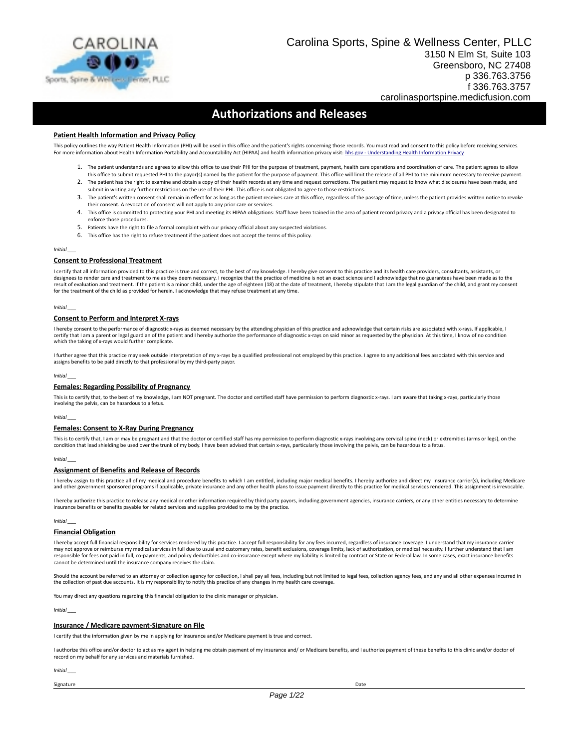

## **Authorizations and Releases**

#### **Patient Health Information and Privacy Policy**

This policy outlines the way Patient Health Information (PHI) will be used in this office and the patient's rights concerning those records. You must read and consent to this policy before receiving services. For more information about Health Information Portability and Accountability Act (HIPAA) and health information privacy visit: hhs.gov - Understanding Health Information Privacy

- 1. The patient understands and agrees to allow this office to use their PHI for the purpose of treatment, payment, health care operations and coordination of care. The patient agrees to allow this office to submit requested PHI to the payor(s) named by the patient for the purpose of payment. This office will limit the release of all PHI to the minimum necessary to receive payment.
- 2. The patient has the right to examine and obtain a copy of their health records at any time and request corrections. The patient may request to know what disclosures have been made, and submit in writing any further restrictions on the use of their PHI. This office is not obligated to agree to those restrictions.
- 3. The patient's written consent shall remain in effect for as long as the patient receives care at this office, regardless of the passage of time, unless the patient provides written notice to revoke their consent. A revocation of consent will not apply to any prior care or services.
- 4. This office is committed to protecting your PHI and meeting its HIPAA obligations: Staff have been trained in the area of patient record privacy and a privacy official has been designated to enforce those procedures.
- 5. Patients have the right to file a formal complaint with our privacy official about any suspected violations.
- 6. This office has the right to refuse treatment if the patient does not accept the terms of this policy.

*Initial \_\_\_*

#### **Consent to Professional Treatment**

I certify that all information provided to this practice is true and correct, to the best of my knowledge. I hereby give consent to this practice and its health care providers, consultants, assistants, or designees to render care and treatment to me as they deem necessary. I recognize that the practice of medicine is not an exact science and I acknowledge that no guarantees have been made as to the<br>result of evaluation and for the treatment of the child as provided for herein. I acknowledge that may refuse treatment at any time.

#### *Initial \_\_\_*

#### **Consent to Perform and Interpret X-rays**

I hereby consent to the performance of diagnostic x-rays as deemed necessary by the attending physician of this practice and acknowledge that certain risks are associated with x-rays. If applicable, I<br>certify that I am a p which the taking of x-rays would further complicate.

I further agree that this practice may seek outside interpretation of my x-rays by a qualified professional not employed by this practice. I agree to any additional fees associated with this service and assigns benefits to be paid directly to that professional by my third-party payor.

*Initial \_\_\_*

### **Females: Regarding Possibility of Pregnancy**

This is to certify that, to the best of my knowledge, I am NOT pregnant. The doctor and certified staff have permission to perform diagnostic x-rays. I am aware that taking x-rays, particularly those involving the pelvis, can be hazardous to a fetus.

*Initial \_\_\_*

#### **Females: Consent to X-Ray During Pregnancy**

This is to certify that, I am or may be pregnant and that the doctor or certified staff has my permission to perform diagnostic x-rays involving any cervical spine (neck) or extremities (arms or legs), on the condition that lead shielding be used over the trunk of my body. I have been advised that certain x-rays, particularly those involving the pelvis, can be hazardous to a fetus.

#### *Initial \_\_\_*

#### **Assignment of Benefits and Release of Records**

I hereby assign to this practice all of my medical and procedure benefits to which I am entitled, including major medical benefits. I hereby authorize and direct my insurance carrier(s), including Medicare and other government sponsored programs if applicable, private insurance and any other health plans to issue payment directly to this practice for medical services rendered. This assignment is irrevocable.

I hereby authorize this practice to release any medical or other information required by third party payors, including government agencies, insurance carriers, or any other entities necessary to determine<br>insurance benefit

*Initial \_\_\_*

#### **Financial Obligation**

I hereby accept full financial responsibility for services rendered by this practice. I accept full responsibility for any fees incurred, regardless of insurance coverage. I understand that my insurance carrier may not approve or reimburse my medical services in full due to usual and customary rates, benefit exclusions, coverage limits, lack of authorization, or medical necessity. I further understand that I am responsible for fees not paid in full, co-payments, and policy deductibles and co-insurance except where my liability is limited by contract or State or Federal law. In some cases, exact insurance benefits cannot be determined until the insurance company receives the claim.

Should the account be referred to an attorney or collection agency for collection, I shall pay all fees, including but not limited to legal fees, collection agency fees, and any and all other expenses incurred in the collection of past due accounts. It is my responsibility to notify this practice of any changes in my health care coverage.

You may direct any questions regarding this financial obligation to the clinic manager or physician.

*Initial \_\_\_*

### **Insurance / Medicare payment-Signature on File**

I certify that the information given by me in applying for insurance and/or Medicare payment is true and correct.

I authorize this office and/or doctor to act as my agent in helping me obtain payment of my insurance and/ or Medicare benefits, and I authorize payment of these benefits to this clinic and/or doctor of record on my behalf for any services and materials furnished.

*Initial \_\_\_*

Signature Date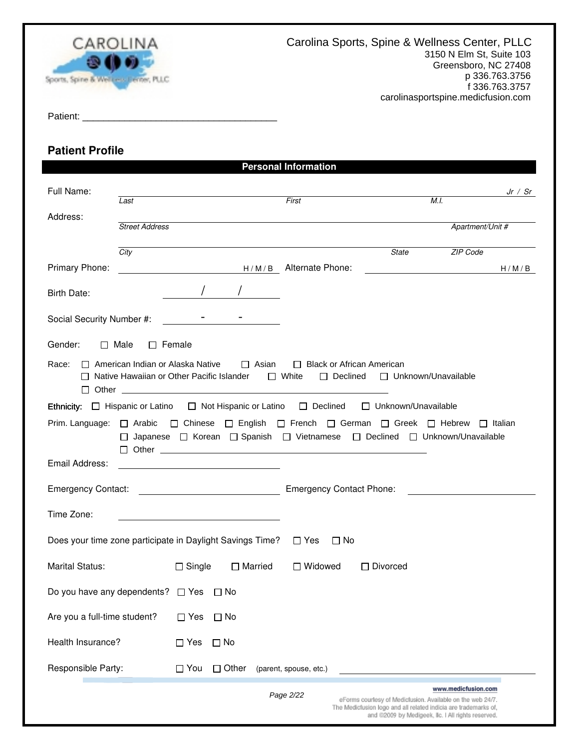

Patient: \_\_\_\_\_\_\_\_\_\_\_\_\_\_\_\_\_\_\_\_\_\_\_\_\_\_\_\_\_\_\_\_\_\_\_\_\_

# **Patient Profile**

|                                                                                                               |                                         |               |                                                                                                    | <b>Personal Information</b> |                                                                 |                                                                                                                 |                     |         |
|---------------------------------------------------------------------------------------------------------------|-----------------------------------------|---------------|----------------------------------------------------------------------------------------------------|-----------------------------|-----------------------------------------------------------------|-----------------------------------------------------------------------------------------------------------------|---------------------|---------|
| Full Name:                                                                                                    | Last                                    |               |                                                                                                    | First                       |                                                                 | M.I.                                                                                                            |                     | Jr / Sr |
| Address:                                                                                                      |                                         |               |                                                                                                    |                             |                                                                 |                                                                                                                 |                     |         |
|                                                                                                               | <b>Street Address</b>                   |               |                                                                                                    |                             |                                                                 |                                                                                                                 | Apartment/Unit #    |         |
|                                                                                                               | City                                    |               |                                                                                                    |                             |                                                                 | <b>State</b>                                                                                                    | ZIP Code            |         |
| Primary Phone:                                                                                                |                                         |               | H/M/B Alternate Phone:                                                                             |                             |                                                                 |                                                                                                                 |                     | H/M/B   |
| Birth Date:                                                                                                   |                                         |               |                                                                                                    |                             |                                                                 |                                                                                                                 |                     |         |
| Social Security Number #:                                                                                     |                                         |               |                                                                                                    |                             |                                                                 |                                                                                                                 |                     |         |
| Gender:                                                                                                       | $\Box$ Female<br>$\Box$ Male            |               |                                                                                                    |                             |                                                                 |                                                                                                                 |                     |         |
| Race:                                                                                                         | $\Box$ American Indian or Alaska Native |               | $\Box$ Asian<br>□ Native Hawaiian or Other Pacific Islander □ White                                |                             | $\Box$ Black or African American<br>$\Box$ Declined             | □ Unknown/Unavailable                                                                                           |                     |         |
| Ethnicity: $\Box$ Hispanic or Latino $\Box$ Not Hispanic or Latino $\Box$ Declined $\Box$ Unknown/Unavailable |                                         |               |                                                                                                    |                             |                                                                 |                                                                                                                 |                     |         |
| Prim. Language: □ Arabic □ Chinese □ English □ French □ German □ Greek □ Hebrew □ Italian                     |                                         |               | □ Japanese □ Korean □ Spanish □ Vietnamese □ Declined □ Unknown/Unavailable<br>$\Box$ Other $\Box$ |                             |                                                                 |                                                                                                                 |                     |         |
| Email Address:                                                                                                |                                         |               |                                                                                                    |                             |                                                                 |                                                                                                                 |                     |         |
|                                                                                                               |                                         |               |                                                                                                    |                             | <b>Emergency Contact Phone:</b>                                 |                                                                                                                 |                     |         |
| Time Zone:                                                                                                    |                                         |               |                                                                                                    |                             |                                                                 |                                                                                                                 |                     |         |
| Does your time zone participate in Daylight Savings Time? $\Box$ Yes                                          |                                         |               |                                                                                                    |                             | $\Box$ No                                                       |                                                                                                                 |                     |         |
| <b>Marital Status:</b>                                                                                        |                                         | $\Box$ Single | $\Box$ Married                                                                                     | □ Widowed                   | $\Box$ Divorced                                                 |                                                                                                                 |                     |         |
| Do you have any dependents?                                                                                   |                                         | $\Box$ Yes    | $\Box$ No                                                                                          |                             |                                                                 |                                                                                                                 |                     |         |
| Are you a full-time student?                                                                                  |                                         | $\square$ Yes | $\Box$ No                                                                                          |                             |                                                                 |                                                                                                                 |                     |         |
| Health Insurance?                                                                                             |                                         | $\Box$ Yes    | $\Box$ No                                                                                          |                             |                                                                 |                                                                                                                 |                     |         |
| Responsible Party:                                                                                            |                                         | $\Box$ You    | $\Box$ Other                                                                                       | (parent, spouse, etc.)      |                                                                 |                                                                                                                 |                     |         |
|                                                                                                               |                                         |               |                                                                                                    | Page 2/22                   | The Medicfusion logo and all related indicia are trademarks of, | eForms courtesy of Medicfusion. Available on the web 24/7.<br>and @2009 by Medigeek, Ilc. I All rights reserved | www.medicfusion.com |         |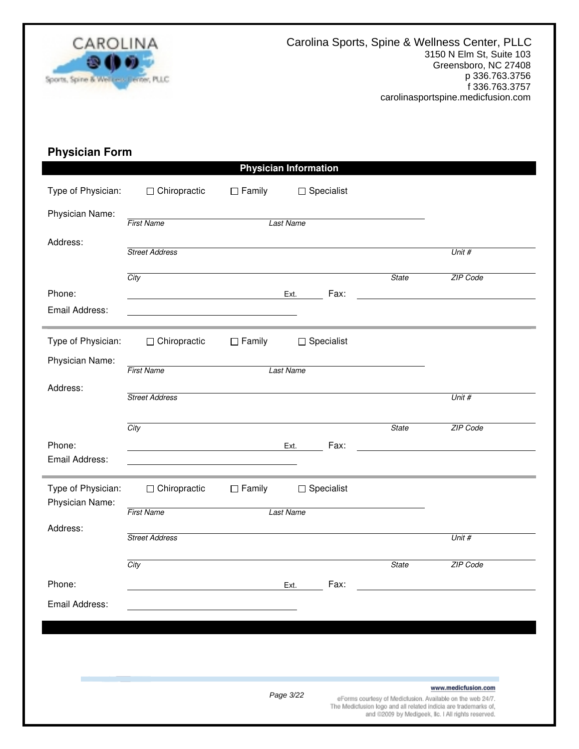

# **Physician Form**

|                          |                                                      |                                               | <b>Physician Information</b> |      |              |                                                                                                                       |
|--------------------------|------------------------------------------------------|-----------------------------------------------|------------------------------|------|--------------|-----------------------------------------------------------------------------------------------------------------------|
| Type of Physician:       | $\Box$ Chiropractic                                  | $\Box$ Family                                 | $\Box$ Specialist            |      |              |                                                                                                                       |
| Physician Name:          | <b>First Name</b>                                    |                                               | <b>Last Name</b>             |      |              |                                                                                                                       |
| Address:                 | <b>Street Address</b>                                |                                               |                              |      |              | Unit #                                                                                                                |
|                          | City                                                 |                                               |                              |      | <b>State</b> | ZIP Code                                                                                                              |
| Phone:                   |                                                      |                                               | Ext.                         | Fax: |              |                                                                                                                       |
| Email Address:           |                                                      | <u> 1980 - Andrea Andrew Maria (h. 1980).</u> |                              |      |              |                                                                                                                       |
| Type of Physician:       | $\Box$ Chiropractic                                  | $\Box$ Family                                 | $\Box$ Specialist            |      |              |                                                                                                                       |
| Physician Name:          | <b>First Name</b>                                    |                                               | <b>Last Name</b>             |      |              |                                                                                                                       |
| Address:                 | <b>Street Address</b>                                |                                               |                              |      |              | Unit #                                                                                                                |
|                          | City                                                 |                                               |                              |      | <b>State</b> | ZIP Code                                                                                                              |
| Phone:<br>Email Address: | <u> 1989 - Jan Barnett, fransk politik (d. 1989)</u> |                                               | Ext.                         | Fax: |              |                                                                                                                       |
| Type of Physician:       | $\Box$ Chiropractic                                  | $\Box$ Family                                 | $\Box$ Specialist            |      |              |                                                                                                                       |
| Physician Name:          | <b>First Name</b>                                    |                                               | <b>Last Name</b>             |      |              |                                                                                                                       |
| Address:                 | <b>Street Address</b>                                |                                               |                              |      |              | Unit #                                                                                                                |
|                          | City                                                 |                                               |                              |      | <b>State</b> | ZIP Code                                                                                                              |
| Phone:                   |                                                      |                                               | Ext.                         | Fax: |              |                                                                                                                       |
| Email Address:           |                                                      |                                               |                              |      |              |                                                                                                                       |
|                          |                                                      |                                               |                              |      |              |                                                                                                                       |
|                          |                                                      |                                               |                              |      |              |                                                                                                                       |
|                          |                                                      |                                               | Page 3/22                    |      |              | www.medicfusion.com<br>eForms courtesy of Medicfusion. Available on the web 24/7.                                     |
|                          |                                                      |                                               |                              |      |              | The Medicfusion logo and all related indicia are trademarks of,<br>and @2009 by Medigeek, Ilc. I All rights reserved. |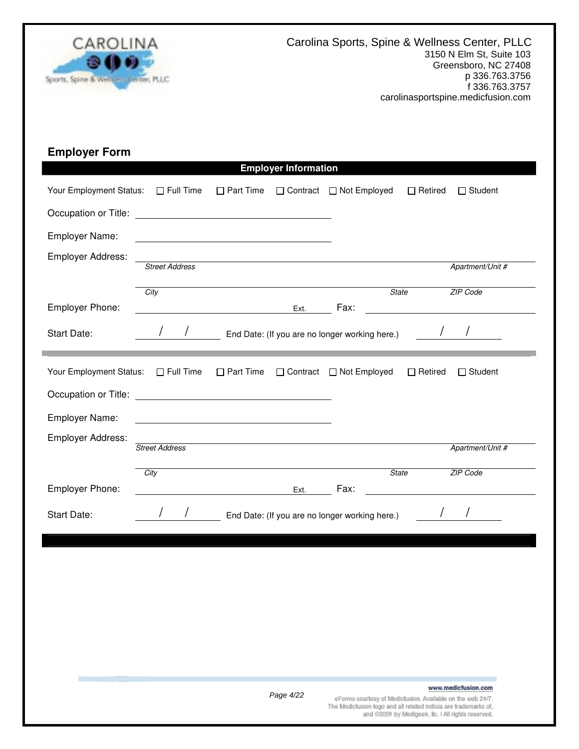

| <b>Employer Form</b>                        |                       |                                                     |                             |                                                                                                                               |                                                    |                                                                                                                                  |
|---------------------------------------------|-----------------------|-----------------------------------------------------|-----------------------------|-------------------------------------------------------------------------------------------------------------------------------|----------------------------------------------------|----------------------------------------------------------------------------------------------------------------------------------|
|                                             |                       |                                                     | <b>Employer Information</b> |                                                                                                                               |                                                    |                                                                                                                                  |
| Your Employment Status:<br>$\Box$ Full Time |                       |                                                     |                             | □ Part Time □ Contract □ Not Employed                                                                                         | $\Box$ Retired                                     | $\Box$ Student                                                                                                                   |
|                                             |                       |                                                     |                             |                                                                                                                               |                                                    |                                                                                                                                  |
| Employer Name:                              |                       | <u> 1989 - Johann Barbara, martxa alemaniar arg</u> |                             |                                                                                                                               |                                                    |                                                                                                                                  |
| Employer Address:                           | <b>Street Address</b> |                                                     |                             |                                                                                                                               |                                                    | Apartment/Unit #                                                                                                                 |
|                                             |                       |                                                     |                             |                                                                                                                               |                                                    |                                                                                                                                  |
| Employer Phone:                             | City                  |                                                     |                             | State<br>Ext. Fax:                                                                                                            |                                                    | ZIP Code<br><u> 1989 - Johann Stoff, deutscher Stoffen und der Stoffen und der Stoffen und der Stoffen und der Stoffen und d</u> |
| Start Date:                                 |                       |                                                     |                             | / End Date: (If you are no longer working here.) /                                                                            |                                                    |                                                                                                                                  |
| Your Employment Status: □ Full Time         |                       |                                                     |                             | □ Part Time □ Contract □ Not Employed                                                                                         | $\Box$ Retired                                     | $\Box$ Student                                                                                                                   |
|                                             |                       |                                                     |                             |                                                                                                                               |                                                    |                                                                                                                                  |
| Employer Name:                              |                       |                                                     |                             |                                                                                                                               |                                                    |                                                                                                                                  |
| Employer Address:                           | <b>Street Address</b> |                                                     |                             |                                                                                                                               |                                                    | Apartment/Unit #                                                                                                                 |
|                                             |                       |                                                     |                             |                                                                                                                               |                                                    |                                                                                                                                  |
| Employer Phone:                             | City                  | <b>Ext.</b> Fax:                                    |                             | <b>State</b>                                                                                                                  |                                                    | ZIP Code                                                                                                                         |
| <b>Start Date:</b>                          |                       |                                                     |                             | / End Date: (If you are no longer working here.)                                                                              |                                                    |                                                                                                                                  |
|                                             |                       |                                                     |                             |                                                                                                                               |                                                    |                                                                                                                                  |
|                                             |                       |                                                     |                             |                                                                                                                               |                                                    |                                                                                                                                  |
|                                             |                       |                                                     |                             |                                                                                                                               |                                                    |                                                                                                                                  |
|                                             |                       |                                                     |                             |                                                                                                                               |                                                    |                                                                                                                                  |
|                                             |                       |                                                     |                             |                                                                                                                               |                                                    |                                                                                                                                  |
|                                             |                       |                                                     |                             |                                                                                                                               |                                                    |                                                                                                                                  |
|                                             |                       |                                                     |                             |                                                                                                                               |                                                    |                                                                                                                                  |
|                                             |                       |                                                     | Page 4/22                   | eForms courtesy of Medicfusion. Available on the web 24/7.<br>The Medicfusion logo and all related indicia are trademarks of, | and @2009 by Medigeek, Ilc. I All rights reserved. | www.medicfusion.com                                                                                                              |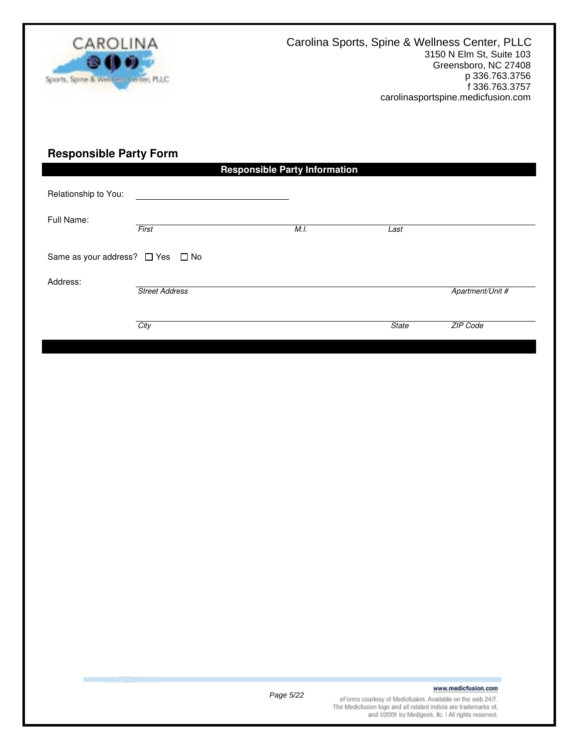

## **Responsible Party Form**

|                                  |                       | <b>Responsible Party Information</b> |              |                  |
|----------------------------------|-----------------------|--------------------------------------|--------------|------------------|
| Relationship to You:             |                       |                                      |              |                  |
| Full Name:                       | First                 | M.I.                                 | Last         |                  |
| Same as your address? □ Yes □ No |                       |                                      |              |                  |
| Address:                         | <b>Street Address</b> |                                      |              | Apartment/Unit # |
|                                  | City                  |                                      | <b>State</b> | ZIP Code         |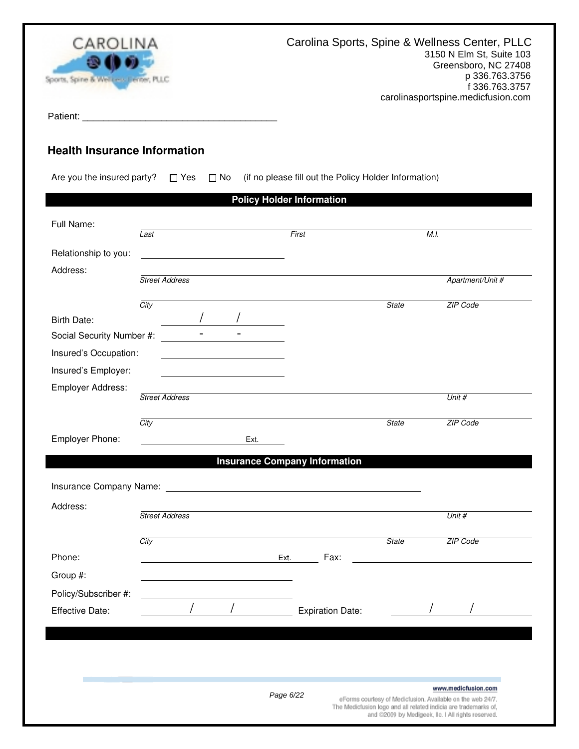

Patient: \_\_\_\_\_\_\_\_\_\_\_\_\_\_\_\_\_\_\_\_\_\_\_\_\_\_\_\_\_\_\_\_\_\_\_\_\_

# **Health Insurance Information**

Are you the insured party?  $\Box$  Yes  $\Box$  No (if no please fill out the Policy Holder Information)

|                                                                                                                |                       |              | <b>Policy Holder Information</b> |                                      |              |                                                                                                                               |
|----------------------------------------------------------------------------------------------------------------|-----------------------|--------------|----------------------------------|--------------------------------------|--------------|-------------------------------------------------------------------------------------------------------------------------------|
| Full Name:                                                                                                     | Last                  |              | First                            |                                      |              | M.I.                                                                                                                          |
| Relationship to you:                                                                                           |                       |              |                                  |                                      |              |                                                                                                                               |
| Address:                                                                                                       |                       |              |                                  |                                      |              |                                                                                                                               |
|                                                                                                                | <b>Street Address</b> |              |                                  |                                      |              | Apartment/Unit #                                                                                                              |
|                                                                                                                | City                  |              |                                  |                                      | <b>State</b> | ZIP Code                                                                                                                      |
| <b>Birth Date:</b>                                                                                             |                       |              |                                  |                                      |              |                                                                                                                               |
| Social Security Number #:                                                                                      | $\blacksquare$        | $\mathbf{r}$ |                                  |                                      |              |                                                                                                                               |
| Insured's Occupation:                                                                                          |                       |              |                                  |                                      |              |                                                                                                                               |
| Insured's Employer:                                                                                            |                       |              |                                  |                                      |              |                                                                                                                               |
| Employer Address:                                                                                              |                       |              |                                  |                                      |              |                                                                                                                               |
|                                                                                                                | <b>Street Address</b> |              |                                  |                                      |              | Unit #                                                                                                                        |
|                                                                                                                | City                  |              |                                  |                                      | <b>State</b> | ZIP Code                                                                                                                      |
| Employer Phone:                                                                                                |                       | Ext.         |                                  |                                      |              |                                                                                                                               |
|                                                                                                                |                       |              |                                  | <b>Insurance Company Information</b> |              |                                                                                                                               |
|                                                                                                                |                       |              |                                  |                                      |              |                                                                                                                               |
| Insurance Company Name: Name: Name: Name Service Company Name: Name Service Company Name: Name Service Company |                       |              |                                  |                                      |              |                                                                                                                               |
| Address:                                                                                                       |                       |              |                                  |                                      |              | Unit #                                                                                                                        |
|                                                                                                                |                       |              |                                  |                                      |              |                                                                                                                               |
|                                                                                                                | <b>Street Address</b> |              |                                  |                                      |              |                                                                                                                               |
|                                                                                                                | City                  |              |                                  |                                      | <b>State</b> | ZIP Code                                                                                                                      |
| Phone:                                                                                                         |                       |              | Ext.                             | Fax:                                 |              |                                                                                                                               |
| Group #:                                                                                                       |                       |              |                                  |                                      |              |                                                                                                                               |
| Policy/Subscriber #:                                                                                           |                       |              |                                  |                                      |              |                                                                                                                               |
| Effective Date:                                                                                                |                       |              |                                  | <b>Expiration Date:</b>              |              |                                                                                                                               |
|                                                                                                                |                       |              |                                  |                                      |              |                                                                                                                               |
|                                                                                                                |                       |              |                                  |                                      |              |                                                                                                                               |
|                                                                                                                |                       |              |                                  |                                      |              |                                                                                                                               |
|                                                                                                                |                       |              |                                  |                                      |              | www.medicfusion.com                                                                                                           |
|                                                                                                                |                       |              | Page 6/22                        |                                      |              | eForms courtesy of Medicfusion. Available on the web 24/7.<br>The Medicfusion logo and all related indicia are trademarks of, |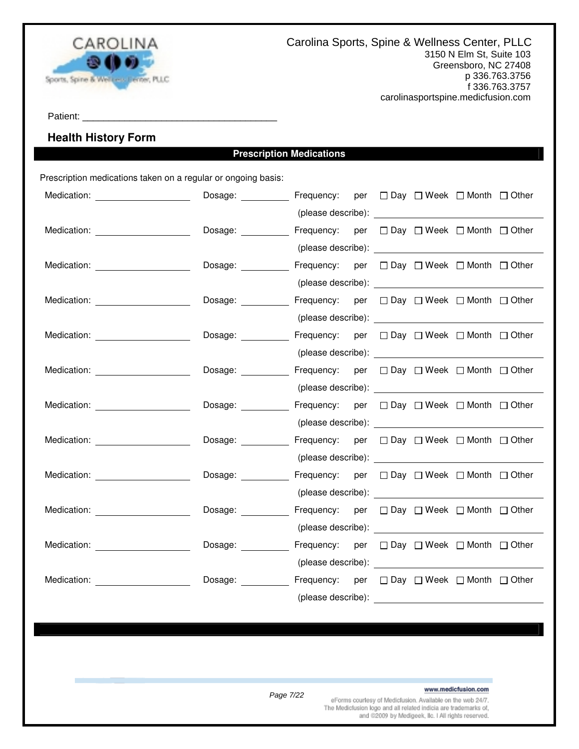

Patient: \_\_\_\_\_\_\_\_\_\_\_\_\_\_\_\_\_\_\_\_\_\_\_\_\_\_\_\_\_\_\_\_\_\_\_\_\_

## **Health History Form**

## **Prescription Medications**

Prescription medications taken on a regular or ongoing basis:

|                                                                                                                                                                                                                                | Dosage: Frequency: per □ Day □ Week □ Month □ Other             |                                                                                                                                                                                                                                |  |  |  |
|--------------------------------------------------------------------------------------------------------------------------------------------------------------------------------------------------------------------------------|-----------------------------------------------------------------|--------------------------------------------------------------------------------------------------------------------------------------------------------------------------------------------------------------------------------|--|--|--|
|                                                                                                                                                                                                                                |                                                                 |                                                                                                                                                                                                                                |  |  |  |
| Medication: _______________________                                                                                                                                                                                            | Dosage: ___________ Frequency: per □ Day □ Week □ Month □ Other |                                                                                                                                                                                                                                |  |  |  |
|                                                                                                                                                                                                                                |                                                                 |                                                                                                                                                                                                                                |  |  |  |
| Medication: ______________________                                                                                                                                                                                             | Dosage: ___________ Frequency: per □ Day □ Week □ Month □ Other |                                                                                                                                                                                                                                |  |  |  |
|                                                                                                                                                                                                                                |                                                                 |                                                                                                                                                                                                                                |  |  |  |
| Medication: _______________________                                                                                                                                                                                            | Dosage: Frequency: per □ Day □ Week □ Month □ Other             |                                                                                                                                                                                                                                |  |  |  |
|                                                                                                                                                                                                                                |                                                                 |                                                                                                                                                                                                                                |  |  |  |
| Medication: ______________________                                                                                                                                                                                             | Dosage: Frequency: per □ Day □ Week □ Month □ Other             |                                                                                                                                                                                                                                |  |  |  |
|                                                                                                                                                                                                                                |                                                                 |                                                                                                                                                                                                                                |  |  |  |
| Medication: New York Products and American Section 1997                                                                                                                                                                        | Dosage: __________ Frequency: per □ Day □ Week □ Month □ Other  |                                                                                                                                                                                                                                |  |  |  |
|                                                                                                                                                                                                                                |                                                                 |                                                                                                                                                                                                                                |  |  |  |
| Medication: Website and Security and Security and Security and Security and Security and Security and Security and Security and Security and Security and Security and Security and Security and Security and Security and Sec | Dosage: ___________ Frequency: per □ Day □ Week □ Month □ Other |                                                                                                                                                                                                                                |  |  |  |
|                                                                                                                                                                                                                                |                                                                 |                                                                                                                                                                                                                                |  |  |  |
|                                                                                                                                                                                                                                | Dosage: Frequency: per □ Day □ Week □ Month □ Other             |                                                                                                                                                                                                                                |  |  |  |
|                                                                                                                                                                                                                                |                                                                 |                                                                                                                                                                                                                                |  |  |  |
| Medication: Network and Medication:                                                                                                                                                                                            | Dosage: ___________ Frequency: per □ Day □ Week □ Month □ Other |                                                                                                                                                                                                                                |  |  |  |
|                                                                                                                                                                                                                                |                                                                 |                                                                                                                                                                                                                                |  |  |  |
| Medication: <b>Example 2019</b>                                                                                                                                                                                                | Dosage: ___________ Frequency: per □ Day □ Week □ Month □ Other |                                                                                                                                                                                                                                |  |  |  |
|                                                                                                                                                                                                                                |                                                                 | (please describe): expression of the state of the state of the state of the state of the state of the state of the state of the state of the state of the state of the state of the state of the state of the state of the sta |  |  |  |
| Medication: ______________________                                                                                                                                                                                             | Dosage: Frequency: per □ Day □ Week □ Month □ Other             |                                                                                                                                                                                                                                |  |  |  |
|                                                                                                                                                                                                                                |                                                                 |                                                                                                                                                                                                                                |  |  |  |
| Medication: Website and Second Second Second Second Second Second Second Second Second Second Second Second Second Second Second Second Second Second Second Second Second Second Second Second Second Second Second Second Se | Dosage: Frequency: per □ Day □ Week □ Month □ Other             |                                                                                                                                                                                                                                |  |  |  |
|                                                                                                                                                                                                                                |                                                                 | (please describe): ____                                                                                                                                                                                                        |  |  |  |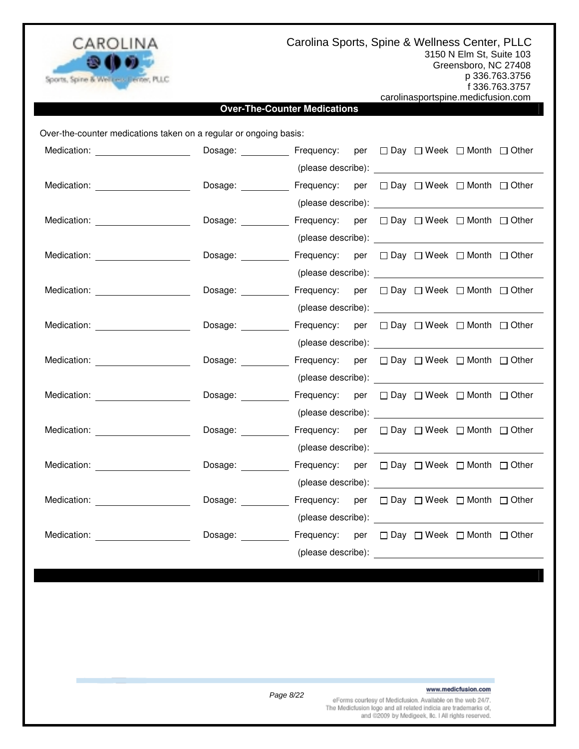

Carolina Sports, Spine & Wellness Center, PLLC

3150 N Elm St, Suite 103 Greensboro, NC 27408

p 336.763.3756

f 336.763.3757 carolinasportspine.medicfusion.com

### **Over-The-Counter Medications**

Over-the-counter medications taken on a regular or ongoing basis:

| Medication: ____________________                                                                                                                                                                                               | Dosage: Frequency: per □ Day □ Week □ Month □ Other             |                                                                                                                                                                                                                                |  |  |  |
|--------------------------------------------------------------------------------------------------------------------------------------------------------------------------------------------------------------------------------|-----------------------------------------------------------------|--------------------------------------------------------------------------------------------------------------------------------------------------------------------------------------------------------------------------------|--|--|--|
|                                                                                                                                                                                                                                |                                                                 | (please describe): expression of the set of the set of the set of the set of the set of the set of the set of the set of the set of the set of the set of the set of the set of the set of the set of the set of the set of th |  |  |  |
|                                                                                                                                                                                                                                |                                                                 |                                                                                                                                                                                                                                |  |  |  |
|                                                                                                                                                                                                                                |                                                                 |                                                                                                                                                                                                                                |  |  |  |
| Medication: _____________________                                                                                                                                                                                              | Dosage: ___________ Frequency: per □ Day □ Week □ Month □ Other |                                                                                                                                                                                                                                |  |  |  |
|                                                                                                                                                                                                                                |                                                                 |                                                                                                                                                                                                                                |  |  |  |
| Medication: ______________________                                                                                                                                                                                             | Dosage: <u>_____________</u>                                    | Frequency: per □ Day □ Week □ Month □ Other                                                                                                                                                                                    |  |  |  |
|                                                                                                                                                                                                                                |                                                                 |                                                                                                                                                                                                                                |  |  |  |
| Medication: ______________________                                                                                                                                                                                             | Dosage: ___________ Frequency: per □ Day □ Week □ Month □ Other |                                                                                                                                                                                                                                |  |  |  |
|                                                                                                                                                                                                                                |                                                                 |                                                                                                                                                                                                                                |  |  |  |
| Medication: _______________________                                                                                                                                                                                            | Dosage: ___________ Frequency: per □ Day □ Week □ Month □ Other |                                                                                                                                                                                                                                |  |  |  |
|                                                                                                                                                                                                                                |                                                                 |                                                                                                                                                                                                                                |  |  |  |
| Medication: _______________________                                                                                                                                                                                            | Dosage: ___________ Frequency: per □ Day □ Week □ Month □ Other |                                                                                                                                                                                                                                |  |  |  |
|                                                                                                                                                                                                                                |                                                                 |                                                                                                                                                                                                                                |  |  |  |
| Medication: Website and Security and Security and Security and Security and Security and Security and Security and Security and Security and Security and Security and Security and Security and Security and Security and Sec | Dosage: ___________ Frequency: per □ Day □ Week □ Month □ Other |                                                                                                                                                                                                                                |  |  |  |
|                                                                                                                                                                                                                                |                                                                 |                                                                                                                                                                                                                                |  |  |  |
| Medication: Medication:                                                                                                                                                                                                        | Dosage: ___________ Frequency: per □ Day □ Week □ Month □ Other |                                                                                                                                                                                                                                |  |  |  |
|                                                                                                                                                                                                                                |                                                                 |                                                                                                                                                                                                                                |  |  |  |
|                                                                                                                                                                                                                                | Dosage: ___________ Frequency: per □ Day □ Week □ Month □ Other |                                                                                                                                                                                                                                |  |  |  |
|                                                                                                                                                                                                                                |                                                                 |                                                                                                                                                                                                                                |  |  |  |
| Medication: New York Products and American Control of the American Control of the American Control of the American Control of the American Control of the American Control of the American Control of the American Control of  | Dosage: Frequency: per □ Day □ Week □ Month □ Other             |                                                                                                                                                                                                                                |  |  |  |
|                                                                                                                                                                                                                                |                                                                 |                                                                                                                                                                                                                                |  |  |  |
| Medication: Website and Security and Security and Security and Security and Security and Security and Security and Security and Security and Security and Security and Security and Security and Security and Security and Sec | Dosage: Frequency: per □ Day □ Week □ Month □ Other             |                                                                                                                                                                                                                                |  |  |  |
|                                                                                                                                                                                                                                |                                                                 | (please describe):                                                                                                                                                                                                             |  |  |  |

### www.medicfusion.com

Page 8/22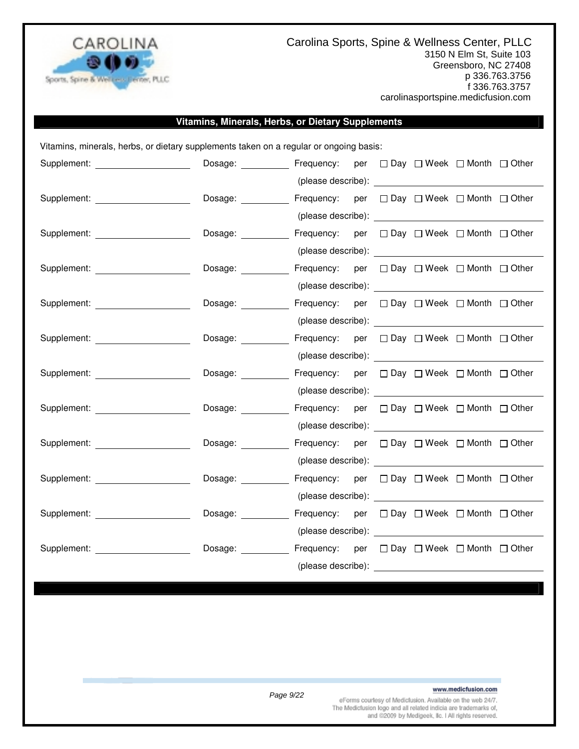

Carolina Sports, Spine & Wellness Center, PLLC 3150 N Elm St, Suite 103 Greensboro, NC 27408 p 336.763.3756 f 336.763.3757 carolinasportspine.medicfusion.com

### **Vitamins, Minerals, Herbs, or Dietary Supplements**

Vitamins, minerals, herbs, or dietary supplements taken on a regular or ongoing basis: Supplement: **Dosage:** Dosage: Frequency: per  $\Box$  Day  $\Box$  Week  $\Box$  Month  $\Box$  Other (please describe): Supplement: Dosage: Frequency: per Day Week Month Other (please describe): Supplement: Dosage: Frequency: per Day Week Month Other (please describe): Supplement: Cosage: Dosage: Frequency: per  $\square$  Day  $\square$  Week  $\square$  Month  $\square$  Other (please describe): Supplement: Dosage: Frequency: per Day Week Month Other (please describe): Supplement: Dosage: Frequency: per  $\square$  Day  $\square$  Week  $\square$  Month  $\square$  Other (please describe): Supplement: Dosage: Frequency: per Day Week Month Other (please describe): Supplement: Dosage: Frequency: per Day Week Month Other (please describe): Supplement: Dosage: Frequency: per Day Week Month Other (please describe): Supplement: Dosage: Frequency: per  $\Box$  Day  $\Box$  Week  $\Box$  Month  $\Box$  Other (please describe): Supplement: Dosage: Frequency: per Day Week Month Other (please describe): Supplement: Dosage: Frequency: per Day Week Month Other (please describe):

### www.medicfusion.com

Page 9/22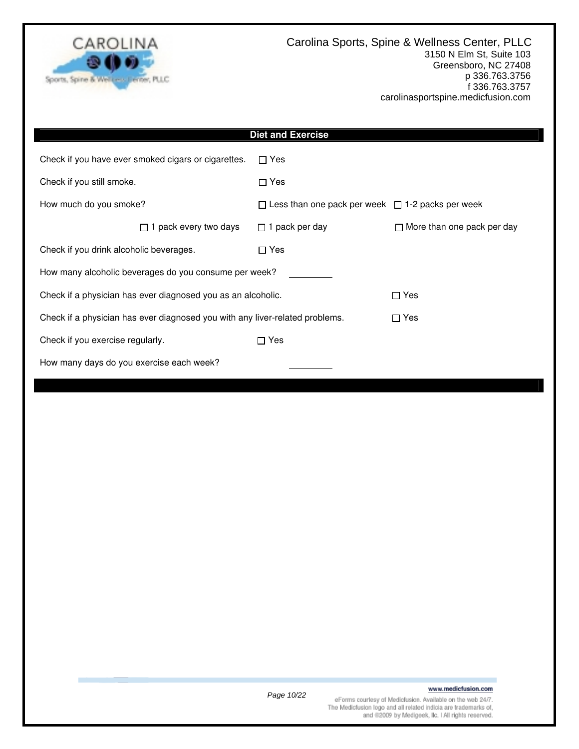

| <b>Diet and Exercise</b>                                                     |                                                              |                                   |  |  |  |  |  |
|------------------------------------------------------------------------------|--------------------------------------------------------------|-----------------------------------|--|--|--|--|--|
| Check if you have ever smoked cigars or cigarettes.                          | $\Box$ Yes                                                   |                                   |  |  |  |  |  |
| Check if you still smoke.                                                    | $\Box$ Yes                                                   |                                   |  |  |  |  |  |
| How much do you smoke?                                                       | $\Box$ Less than one pack per week $\Box$ 1-2 packs per week |                                   |  |  |  |  |  |
| $\Box$ 1 pack every two days                                                 | $\Box$ 1 pack per day                                        | $\Box$ More than one pack per day |  |  |  |  |  |
| Check if you drink alcoholic beverages.                                      | $\Box$ Yes                                                   |                                   |  |  |  |  |  |
| How many alcoholic beverages do you consume per week?                        |                                                              |                                   |  |  |  |  |  |
| Check if a physician has ever diagnosed you as an alcoholic.                 |                                                              | $\Box$ Yes                        |  |  |  |  |  |
| Check if a physician has ever diagnosed you with any liver-related problems. |                                                              | $\Box$ Yes                        |  |  |  |  |  |
| Check if you exercise regularly.                                             | $\Box$ Yes                                                   |                                   |  |  |  |  |  |
| How many days do you exercise each week?                                     |                                                              |                                   |  |  |  |  |  |
|                                                                              |                                                              |                                   |  |  |  |  |  |
|                                                                              |                                                              |                                   |  |  |  |  |  |
|                                                                              |                                                              |                                   |  |  |  |  |  |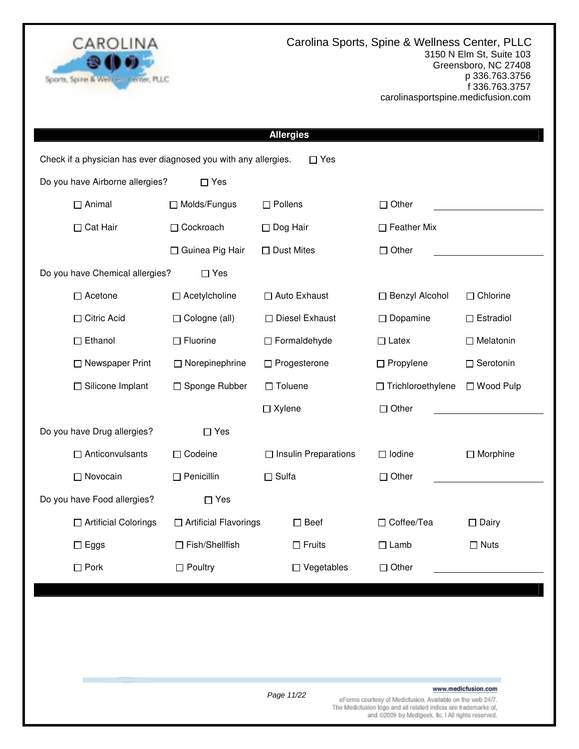

|                                                                 |                         | <b>Allergies</b>            |                     |                  |
|-----------------------------------------------------------------|-------------------------|-----------------------------|---------------------|------------------|
| Check if a physician has ever diagnosed you with any allergies. |                         | $\square$ Yes               |                     |                  |
| Do you have Airborne allergies?                                 | $\Box$ Yes              |                             |                     |                  |
| $\Box$ Animal                                                   | □ Molds/Fungus          | $\Box$ Pollens              | $\Box$ Other        |                  |
| $\Box$ Cat Hair                                                 | □ Cockroach             | $\Box$ Dog Hair             | □ Feather Mix       |                  |
|                                                                 | □ Guinea Pig Hair       | $\Box$ Dust Mites           | $\Box$ Other        |                  |
| Do you have Chemical allergies?                                 | $\Box$ Yes              |                             |                     |                  |
| $\Box$ Acetone                                                  | $\Box$ Acetylcholine    | □ Auto Exhaust              | □ Benzyl Alcohol    | $\Box$ Chlorine  |
| □ Citric Acid                                                   | □ Cologne (all)         | □ Diesel Exhaust            | $\Box$ Dopamine     | $\Box$ Estradiol |
| $\Box$ Ethanol                                                  | $\Box$ Fluorine         | $\Box$ Formaldehyde         | $\Box$ Latex        | $\Box$ Melatonin |
| □ Newspaper Print                                               | $\Box$ Norepinephrine   | □ Progesterone              | $\Box$ Propylene    | $\Box$ Serotonin |
| □ Silicone Implant                                              | □ Sponge Rubber         | $\Box$ Toluene              | □ Trichloroethylene | □ Wood Pulp      |
|                                                                 |                         | $\Box$ Xylene               | $\Box$ Other        |                  |
| Do you have Drug allergies?                                     | $\Box$ Yes              |                             |                     |                  |
| $\Box$ Anticonvulsants                                          | □ Codeine               | $\Box$ Insulin Preparations | $\Box$ Iodine       | $\Box$ Morphine  |
| □ Novocain                                                      | $\Box$ Penicillin       | $\Box$ Sulfa                | $\Box$ Other        |                  |
| Do you have Food allergies?                                     | $\square$ Yes           |                             |                     |                  |
| □ Artificial Colorings                                          | □ Artificial Flavorings | $\square$ Beef              | □ Coffee/Tea        | $\Box$ Dairy     |
| $\Box$<br>Eggs                                                  | $\Box$ Fish/Shellfish   | $\Box$ Fruits               | $\Box$ Lamb         | $\Box$ Nuts      |
| $\Box$ Pork                                                     | $\Box$ Poultry          | $\Box$ Vegetables           | $\Box$ Other        |                  |
|                                                                 |                         |                             |                     |                  |
|                                                                 |                         |                             |                     |                  |
|                                                                 |                         |                             |                     |                  |
|                                                                 |                         |                             |                     |                  |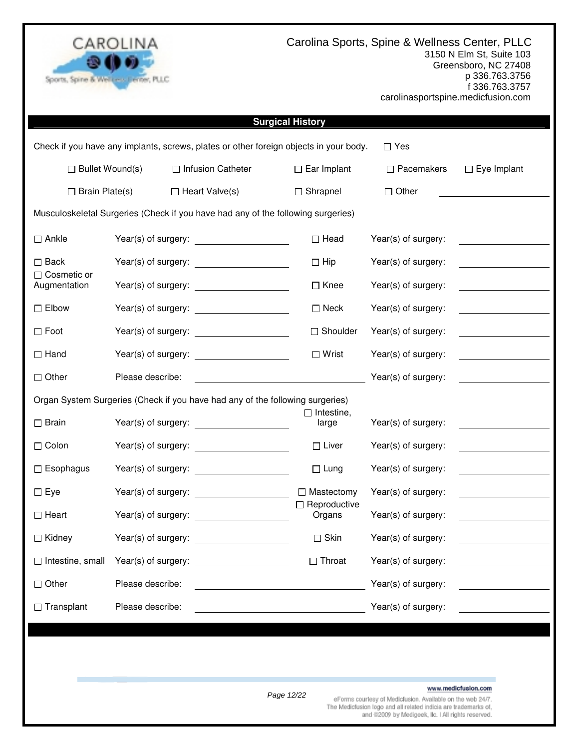

Carolina Sports, Spine & Wellness Center, PLLC 3150 N Elm St, Suite 103 Greensboro, NC 27408 p 336.763.3756 f 336.763.3757 carolinasportspine.medicfusion.com

|                                    |                     |                                                                                       | <b>Surgical History</b>       |                     |                                              |
|------------------------------------|---------------------|---------------------------------------------------------------------------------------|-------------------------------|---------------------|----------------------------------------------|
|                                    |                     | Check if you have any implants, screws, plates or other foreign objects in your body. |                               | $\Box$ Yes          |                                              |
| $\Box$ Bullet Wound(s)             |                     | □ Infusion Catheter                                                                   | $\Box$ Ear Implant            | $\Box$ Pacemakers   | $\Box$ Eye Implant                           |
| $\Box$ Brain Plate(s)              |                     | $\Box$ Heart Valve(s)                                                                 | $\Box$ Shrapnel               | $\Box$ Other        |                                              |
|                                    |                     | Musculoskeletal Surgeries (Check if you have had any of the following surgeries)      |                               |                     |                                              |
| $\Box$ Ankle                       |                     |                                                                                       | $\Box$ Head                   | Year(s) of surgery: |                                              |
| $\Box$ Back                        |                     |                                                                                       | $\Box$ Hip                    | Year(s) of surgery: |                                              |
| $\Box$ Cosmetic or<br>Augmentation |                     |                                                                                       | $\Box$ Knee                   | Year(s) of surgery: | <u> 1999 - Jan Jawa Barat, pre</u>           |
| $\Box$ Elbow                       |                     |                                                                                       | $\square$ Neck                | Year(s) of surgery: | <b>Contract Contract Contract</b>            |
| $\Box$ Foot                        |                     |                                                                                       | $\Box$ Shoulder               | Year(s) of surgery: | <u> 1989 - Jan Alexandria (</u>              |
| $\Box$ Hand                        |                     |                                                                                       | $\Box$ Wrist                  | Year(s) of surgery: |                                              |
| $\Box$ Other                       | Please describe:    |                                                                                       |                               | Year(s) of surgery: |                                              |
|                                    |                     | Organ System Surgeries (Check if you have had any of the following surgeries)         |                               |                     |                                              |
| $\square$ Brain                    |                     |                                                                                       | $\Box$ Intestine,<br>large    | Year(s) of surgery: | <u> 1989 - Jan Barnett, fransk politiker</u> |
| $\Box$ Colon                       |                     |                                                                                       | $\Box$ Liver                  | Year(s) of surgery: |                                              |
| $\Box$ Esophagus                   |                     |                                                                                       | $\Box$ Lung                   | Year(s) of surgery: | <u> 1989 - Andrea State Barbara, pre</u>     |
| $\Box$ Eye                         |                     |                                                                                       | $\Box$ Mastectomy             | Year(s) of surgery: | the control of the control of the            |
| $\Box$ Heart                       |                     |                                                                                       | $\Box$ Reproductive<br>Organs | Year(s) of surgery: |                                              |
| $\Box$ Kidney                      | Year(s) of surgery: | <u> 1989 - Johann Barbara, martxa a</u>                                               | $\square$ Skin                | Year(s) of surgery: |                                              |
| $\Box$ Intestine, small            | Year(s) of surgery: |                                                                                       | $\Box$ Throat                 | Year(s) of surgery: |                                              |
| $\Box$ Other                       | Please describe:    |                                                                                       |                               | Year(s) of surgery: |                                              |
| $\Box$ Transplant                  | Please describe:    |                                                                                       |                               | Year(s) of surgery: |                                              |
|                                    |                     |                                                                                       |                               |                     |                                              |
|                                    |                     |                                                                                       |                               |                     |                                              |

### www.medicfusion.com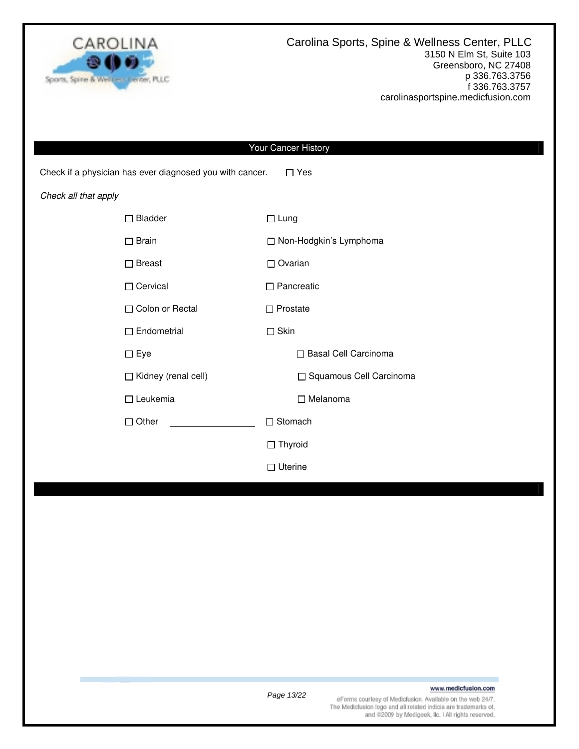

|                      |                                                          | Your Cancer History       |
|----------------------|----------------------------------------------------------|---------------------------|
|                      | Check if a physician has ever diagnosed you with cancer. | $\Box$ Yes                |
| Check all that apply |                                                          |                           |
|                      | $\Box$ Bladder                                           | $\Box$ Lung               |
|                      | $\square$ Brain                                          | □ Non-Hodgkin's Lymphoma  |
|                      | $\square$ Breast                                         | $\Box$ Ovarian            |
|                      | □ Cervical                                               | $\Box$ Pancreatic         |
|                      | □ Colon or Rectal                                        | $\Box$ Prostate           |
|                      | $\Box$ Endometrial                                       | $\Box$ Skin               |
|                      | $\square$ Eye                                            | □ Basal Cell Carcinoma    |
|                      | Kidney (renal cell)                                      | □ Squamous Cell Carcinoma |
|                      | $\Box$ Leukemia                                          | □ Melanoma                |
|                      | $\Box$ Other                                             | □ Stomach                 |
|                      |                                                          | $\Box$ Thyroid            |
|                      |                                                          | $\Box$ Uterine            |
|                      |                                                          |                           |
|                      |                                                          |                           |
|                      |                                                          |                           |
|                      |                                                          |                           |
|                      |                                                          |                           |
|                      |                                                          |                           |
|                      |                                                          |                           |
|                      |                                                          |                           |

### www.medicfusion.com

Page 13/22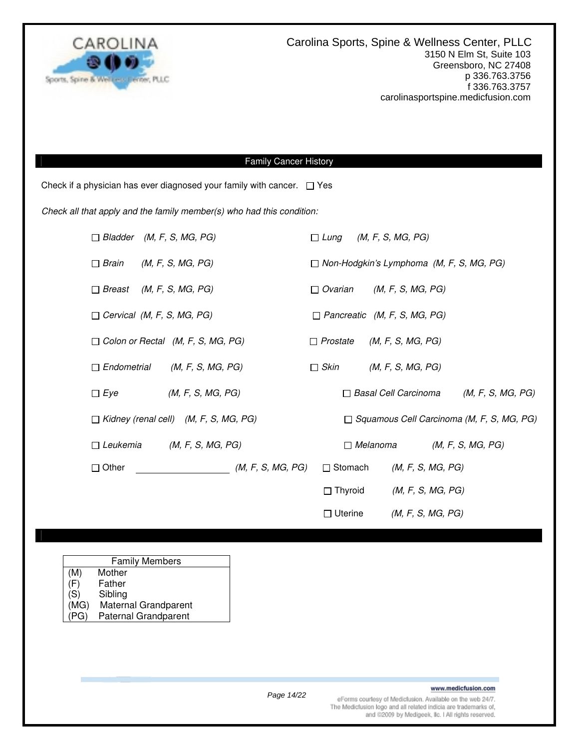

### Family Cancer History

Check if a physician has ever diagnosed your family with cancer.  $\Box$  Yes

Check all that apply and the family member(s) who had this condition:

|                                   | $\Box$ Bladder (M, F, S, MG, PG)             |                   |                 | $\Box$ Lung (M, F, S, MG, PG)                    |                   |  |
|-----------------------------------|----------------------------------------------|-------------------|-----------------|--------------------------------------------------|-------------------|--|
| $\Box$ Brain                      | (M, F, S, MG, PG)                            |                   |                 | $\Box$ Non-Hodgkin's Lymphoma (M, F, S, MG, PG)  |                   |  |
| $\Box$ Breast (M, F, S, MG, PG)   |                                              |                   | $\Box$ Ovarian  | (M, F, S, MG, PG)                                |                   |  |
| $\Box$ Cervical (M, F, S, MG, PG) |                                              |                   |                 | $\Box$ Pancreatic (M, F, S, MG, PG)              |                   |  |
|                                   | $\Box$ Colon or Rectal (M, F, S, MG, PG)     |                   | $\Box$ Prostate | (M, F, S, MG, PG)                                |                   |  |
| $\Box$ Endometrial                | (M, F, S, MG, PG)                            |                   | $\Box$ Skin     | (M, F, S, MG, PG)                                |                   |  |
| $\Box$ Eye                        | (M, F, S, MG, PG)                            |                   |                 | □ Basal Cell Carcinoma                           | (M, F, S, MG, PG) |  |
|                                   | $\Box$ Kidney (renal cell) (M, F, S, MG, PG) |                   |                 | $\Box$ Squamous Cell Carcinoma (M, F, S, MG, PG) |                   |  |
| $\Box$ Leukemia                   | (M, F, S, MG, PG)                            |                   |                 | $\Box$ Melanoma                                  | (M, F, S, MG, PG) |  |
| $\Box$ Other                      |                                              | (M, F, S, MG, PG) | $\Box$ Stomach  | (M, F, S, MG, PG)                                |                   |  |
|                                   |                                              |                   | $\Box$ Thyroid  | (M, F, S, MG, PG)                                |                   |  |
|                                   |                                              |                   | $\Box$ Uterine  | (M, F, S, MG, PG)                                |                   |  |

| <b>Family Members</b> |                             |  |  |  |
|-----------------------|-----------------------------|--|--|--|
| (M)                   | Mother                      |  |  |  |
| (F)                   | Father                      |  |  |  |
| (S)                   | Sibling                     |  |  |  |
| (MG)                  | Maternal Grandparent        |  |  |  |
| (PG)                  | <b>Paternal Grandparent</b> |  |  |  |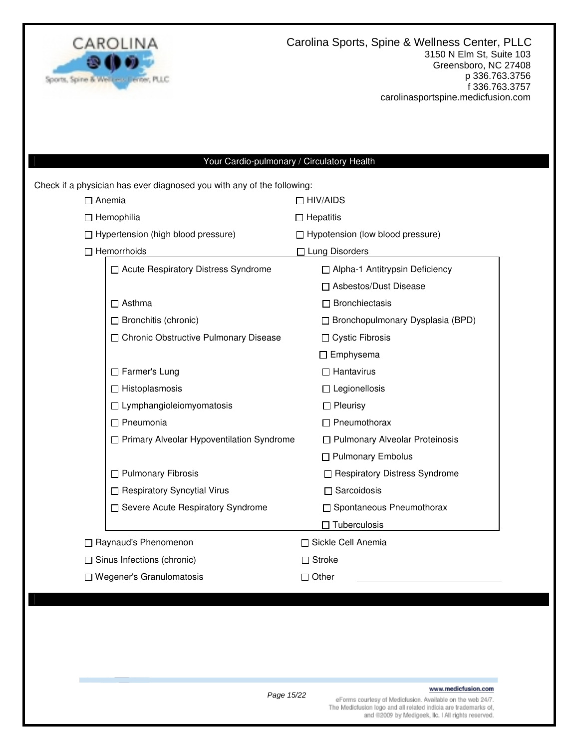

### Your Cardio-pulmonary / Circulatory Health

Check if a physician has ever diagnosed you with any of the following:

| $\Box$ Anemia                               | $\Box$ HIV/AIDS                         |  |  |
|---------------------------------------------|-----------------------------------------|--|--|
| $\Box$ Hemophilia                           | $\Box$ Hepatitis                        |  |  |
| □ Hypertension (high blood pressure)        | $\Box$ Hypotension (low blood pressure) |  |  |
| $\Box$ Hemorrhoids                          | $\Box$ Lung Disorders                   |  |  |
| □ Acute Respiratory Distress Syndrome       | □ Alpha-1 Antitrypsin Deficiency        |  |  |
|                                             | □ Asbestos/Dust Disease                 |  |  |
| $\Box$ Asthma                               | $\Box$ Bronchiectasis                   |  |  |
| $\Box$ Bronchitis (chronic)                 | $\Box$ Bronchopulmonary Dysplasia (BPD) |  |  |
| □ Chronic Obstructive Pulmonary Disease     | $\Box$ Cystic Fibrosis                  |  |  |
|                                             | $\Box$ Emphysema                        |  |  |
| □ Farmer's Lung                             | $\Box$ Hantavirus                       |  |  |
| $\Box$ Histoplasmosis                       | $\Box$ Legionellosis                    |  |  |
| $\Box$ Lymphangioleiomyomatosis             | $\Box$ Pleurisy                         |  |  |
| $\Box$ Pneumonia                            | $\Box$ Pneumothorax                     |  |  |
| □ Primary Alveolar Hypoventilation Syndrome | □ Pulmonary Alveolar Proteinosis        |  |  |
|                                             | □ Pulmonary Embolus                     |  |  |
| $\Box$ Pulmonary Fibrosis                   | □ Respiratory Distress Syndrome         |  |  |
| □ Respiratory Syncytial Virus               | $\Box$ Sarcoidosis                      |  |  |
| □ Severe Acute Respiratory Syndrome         | □ Spontaneous Pneumothorax              |  |  |
|                                             | $\Box$ Tuberculosis                     |  |  |
| □ Raynaud's Phenomenon                      | □ Sickle Cell Anemia                    |  |  |
| $\Box$ Sinus Infections (chronic)           | $\Box$ Stroke                           |  |  |
| $\Box$ Wegener's Granulomatosis             | $\Box$ Other                            |  |  |

### www.medicfusion.com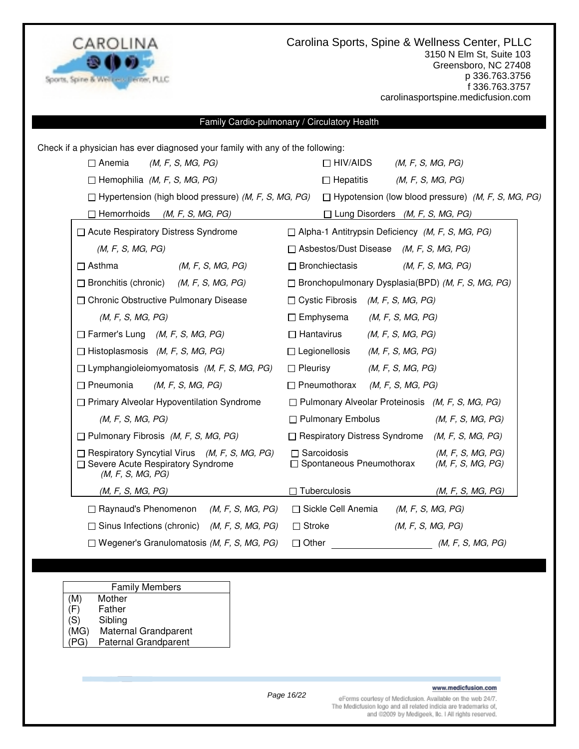

Carolina Sports, Spine & Wellness Center, PLLC 3150 N Elm St, Suite 103 Greensboro, NC 27408 p 336.763.3756 f 336.763.3757 carolinasportspine.medicfusion.com

### Family Cardio-pulmonary / Circulatory Health

| Check if a physician has ever diagnosed your family with any of the following:                                   |                                                                                                 |  |  |  |  |
|------------------------------------------------------------------------------------------------------------------|-------------------------------------------------------------------------------------------------|--|--|--|--|
| $\Box$ Anemia<br>(M, F, S, MG, PG)                                                                               | $\Box$ HIV/AIDS<br>(M, F, S, MG, PG)                                                            |  |  |  |  |
| $\Box$ Hemophilia (M, F, S, MG, PG)                                                                              | $\Box$ Hepatitis<br>(M, F, S, MG, PG)                                                           |  |  |  |  |
| $\Box$ Hypertension (high blood pressure) (M, F, S, MG, PG)                                                      | $\Box$ Hypotension (low blood pressure) (M, F, S, MG, PG)                                       |  |  |  |  |
| $\Box$ Hemorrhoids<br>(M, F, S, MG, PG)                                                                          | $\Box$ Lung Disorders (M, F, S, MG, PG)                                                         |  |  |  |  |
| □ Acute Respiratory Distress Syndrome                                                                            | $\Box$ Alpha-1 Antitrypsin Deficiency (M, F, S, MG, PG)                                         |  |  |  |  |
| (M, F, S, MG, PG)                                                                                                | $\Box$ Asbestos/Dust Disease (M, F, S, MG, PG)                                                  |  |  |  |  |
| $\Box$ Asthma<br>(M, F, S, MG, PG)                                                                               | $\Box$ Bronchiectasis<br>(M, F, S, MG, PG)                                                      |  |  |  |  |
| $\Box$ Bronchitis (chronic)<br>(M, F, S, MG, PG)                                                                 | $\Box$ Bronchopulmonary Dysplasia(BPD) (M, F, S, MG, PG)                                        |  |  |  |  |
| □ Chronic Obstructive Pulmonary Disease                                                                          | $\Box$ Cystic Fibrosis (M, F, S, MG, PG)                                                        |  |  |  |  |
| (M, F, S, MG, PG)                                                                                                | $\Box$ Emphysema<br>(M, F, S, MG, PG)                                                           |  |  |  |  |
| $\Box$ Farmer's Lung (M, F, S, MG, PG)                                                                           | $\Box$ Hantavirus<br>(M, F, S, MG, PG)                                                          |  |  |  |  |
| $\Box$ Histoplasmosis (M, F, S, MG, PG)                                                                          | $\Box$ Legionellosis<br>(M, F, S, MG, PG)                                                       |  |  |  |  |
| $\Box$ Lymphangioleiomyomatosis (M, F, S, MG, PG)                                                                | $\Box$ Pleurisy<br>(M, F, S, MG, PG)                                                            |  |  |  |  |
| $\Box$ Pneumonia<br>(M, F, S, MG, PG)                                                                            | $\Box$ Pneumothorax<br>(M, F, S, MG, PG)                                                        |  |  |  |  |
| □ Primary Alveolar Hypoventilation Syndrome                                                                      | $\Box$ Pulmonary Alveolar Proteinosis (M, F, S, MG, PG)                                         |  |  |  |  |
| (M, F, S, MG, PG)                                                                                                | $\Box$ Pulmonary Embolus<br>(M, F, S, MG, PG)                                                   |  |  |  |  |
| $\Box$ Pulmonary Fibrosis (M, F, S, MG, PG)                                                                      | $\Box$ Respiratory Distress Syndrome (M, F, S, MG, PG)                                          |  |  |  |  |
| $\Box$ Respiratory Syncytial Virus (M, F, S, MG, PG)<br>□ Severe Acute Respiratory Syndrome<br>(M, F, S, MG, PG) | $\Box$ Sarcoidosis<br>(M, F, S, MG, PG)<br>$\Box$ Spontaneous Pneumothorax<br>(M, F, S, MG, PG) |  |  |  |  |
| (M, F, S, MG, PG)                                                                                                | $\Box$ Tuberculosis<br>(M, F, S, MG, PG)                                                        |  |  |  |  |
| $\Box$ Raynaud's Phenomenon (M, F, S, MG, PG)                                                                    | □ Sickle Cell Anemia<br>(M, F, S, MG, PG)                                                       |  |  |  |  |
| $\Box$ Sinus Infections (chronic) (M, F, S, MG, PG)                                                              | $\Box$ Stroke<br>(M, F, S, MG, PG)                                                              |  |  |  |  |
| $\Box$ Wegener's Granulomatosis (M, F, S, MG, PG)                                                                | $\Box$ Other $(M, F, S, MG, PG)$                                                                |  |  |  |  |

|     | <b>Family Members</b> |  |
|-----|-----------------------|--|
| (M) | Mother                |  |

- (F) Father
- (S) Sibling<br>(MG) Matern
- Maternal Grandparent
- (PG) Paternal Grandparent

Page 16/22

www.medicfusion.com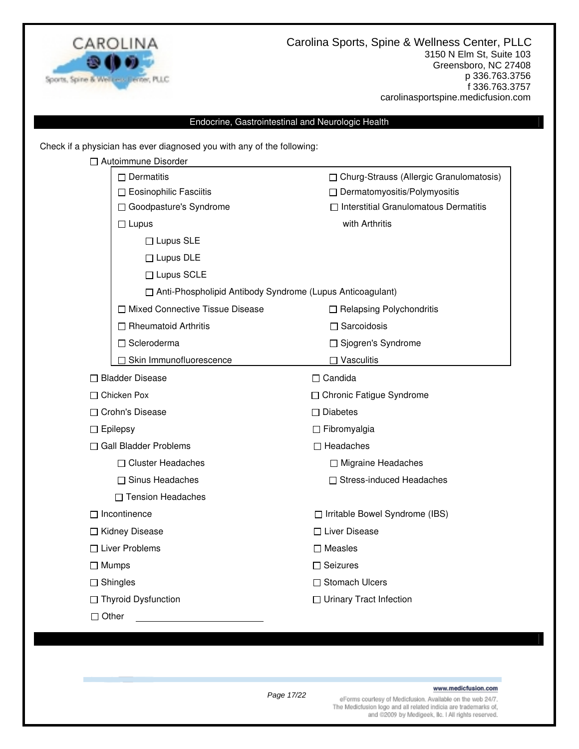

### Endocrine, Gastrointestinal and Neurologic Health

Check if a physician has ever diagnosed you with any of the following:

| □ Autoimmune Disorder                                       |                                              |  |  |
|-------------------------------------------------------------|----------------------------------------------|--|--|
| $\Box$ Dermatitis                                           | □ Churg-Strauss (Allergic Granulomatosis)    |  |  |
| □ Eosinophilic Fasciitis                                    | □ Dermatomyositis/Polymyositis               |  |  |
| □ Goodpasture's Syndrome                                    | $\Box$ Interstitial Granulomatous Dermatitis |  |  |
| $\Box$ Lupus                                                | with Arthritis                               |  |  |
| $\Box$ Lupus SLE                                            |                                              |  |  |
| $\Box$ Lupus DLE                                            |                                              |  |  |
| □ Lupus SCLE                                                |                                              |  |  |
| □ Anti-Phospholipid Antibody Syndrome (Lupus Anticoagulant) |                                              |  |  |
| □ Mixed Connective Tissue Disease                           | $\Box$ Relapsing Polychondritis              |  |  |
| $\Box$ Rheumatoid Arthritis                                 | $\Box$ Sarcoidosis                           |  |  |
| □ Scleroderma                                               | □ Sjogren's Syndrome                         |  |  |
| Skin Immunofluorescence                                     | $\Box$ Vasculitis                            |  |  |
| □ Bladder Disease                                           | $\Box$ Candida                               |  |  |
| $\Box$ Chicken Pox                                          | □ Chronic Fatigue Syndrome                   |  |  |
| □ Crohn's Disease                                           | $\Box$ Diabetes                              |  |  |
| $\Box$ Epilepsy                                             | $\Box$ Fibromyalgia                          |  |  |
| $\Box$ Gall Bladder Problems                                | $\Box$ Headaches                             |  |  |
| □ Cluster Headaches                                         | □ Migraine Headaches                         |  |  |
| $\Box$ Sinus Headaches                                      | □ Stress-induced Headaches                   |  |  |
| □ Tension Headaches                                         |                                              |  |  |
| $\Box$ Incontinence                                         | □ Irritable Bowel Syndrome (IBS)             |  |  |
| □ Kidney Disease                                            | □ Liver Disease                              |  |  |
| $\Box$ Liver Problems                                       | $\square$ Measles                            |  |  |
| $\Box$ Mumps                                                | $\Box$ Seizures                              |  |  |
| $\Box$ Shingles                                             | □ Stomach Ulcers                             |  |  |
| □ Thyroid Dysfunction                                       | $\Box$ Urinary Tract Infection               |  |  |
|                                                             |                                              |  |  |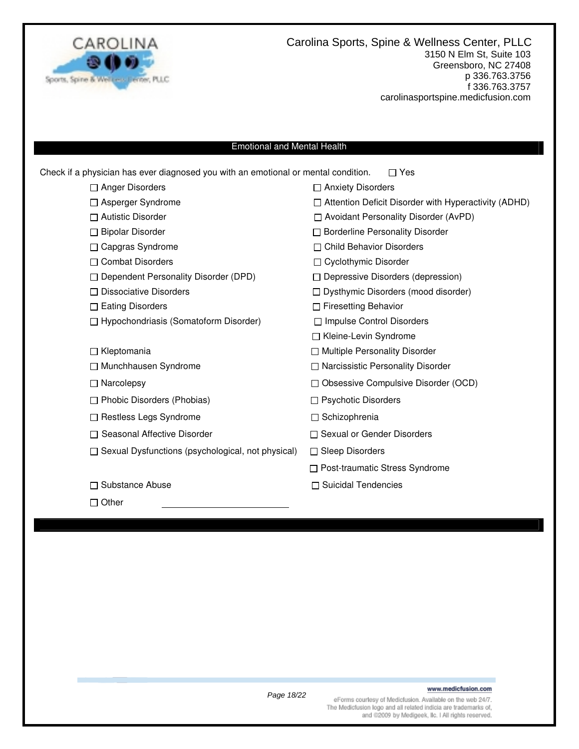

Carolina Sports, Spine & Wellness Center, PLLC 3150 N Elm St, Suite 103 Greensboro, NC 27408 p 336.763.3756 f 336.763.3757 carolinasportspine.medicfusion.com

### Emotional and Mental Health

| Check if a physician has ever diagnosed you with an emotional or mental condition. | Yes<br>П                                                    |
|------------------------------------------------------------------------------------|-------------------------------------------------------------|
| $\Box$ Anger Disorders                                                             | $\Box$ Anxiety Disorders                                    |
| □ Asperger Syndrome                                                                | $\Box$ Attention Deficit Disorder with Hyperactivity (ADHD) |
| $\Box$ Autistic Disorder                                                           | □ Avoidant Personality Disorder (AvPD)                      |
| □ Bipolar Disorder                                                                 | □ Borderline Personality Disorder                           |
| $\Box$ Capgras Syndrome                                                            | $\Box$ Child Behavior Disorders                             |
| □ Combat Disorders                                                                 | □ Cyclothymic Disorder                                      |
| $\Box$ Dependent Personality Disorder (DPD)                                        | $\Box$ Depressive Disorders (depression)                    |
| $\Box$ Dissociative Disorders                                                      | $\Box$ Dysthymic Disorders (mood disorder)                  |
| $\Box$ Eating Disorders                                                            | $\Box$ Firesetting Behavior                                 |
| $\Box$ Hypochondriasis (Somatoform Disorder)                                       | □ Impulse Control Disorders                                 |
|                                                                                    | □ Kleine-Levin Syndrome                                     |
| $\Box$ Kleptomania                                                                 | □ Multiple Personality Disorder                             |
| □ Munchhausen Syndrome                                                             | □ Narcissistic Personality Disorder                         |
| $\Box$ Narcolepsy                                                                  | □ Obsessive Compulsive Disorder (OCD)                       |
| $\Box$ Phobic Disorders (Phobias)                                                  | $\Box$ Psychotic Disorders                                  |
| $\Box$ Restless Legs Syndrome                                                      | □ Schizophrenia                                             |
| □ Seasonal Affective Disorder                                                      | □ Sexual or Gender Disorders                                |
| $\Box$ Sexual Dysfunctions (psychological, not physical)                           | $\Box$ Sleep Disorders                                      |
|                                                                                    | □ Post-traumatic Stress Syndrome                            |
| □ Substance Abuse                                                                  | <b>Suicidal Tendencies</b>                                  |
| $\Box$ Other                                                                       |                                                             |

Page 18/22

www.medicfusion.com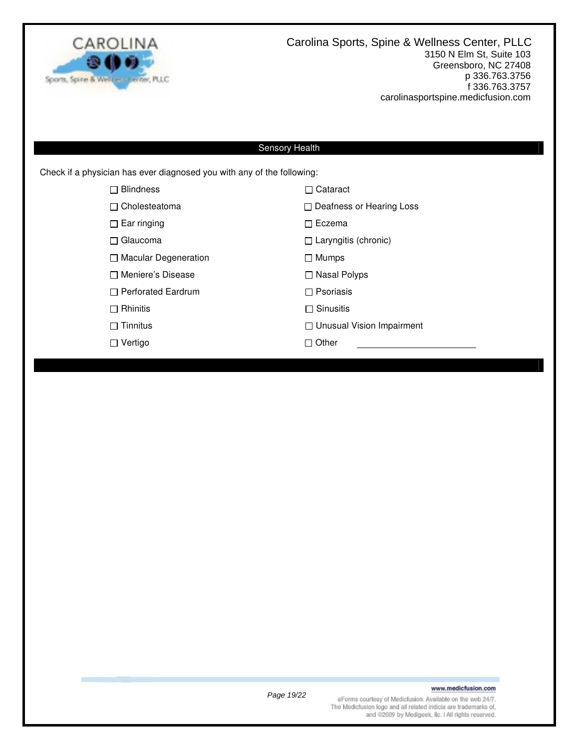

### Sensory Health

Check if a physician has ever diagnosed you with any of the following:

| <b>Blindness</b><br>$\mathsf{L}$ | $\Box$ Cataract                  |
|----------------------------------|----------------------------------|
| $\Box$ Cholesteatoma             | $\Box$ Deafness or Hearing Loss  |
| $\Box$ Ear ringing               | $\Box$ Eczema                    |
| $\Box$ Glaucoma                  | $\Box$ Laryngitis (chronic)      |
| $\Box$ Macular Degeneration      | $\Box$ Mumps                     |
| □ Meniere's Disease              | □ Nasal Polyps                   |
| $\Box$ Perforated Eardrum        | $\Box$ Psoriasis                 |
| $\Box$ Rhinitis                  | $\Box$ Sinusitis                 |
| $\Box$ Tinnitus                  | $\Box$ Unusual Vision Impairment |
| Vertigo                          | $\Box$ Other                     |
|                                  |                                  |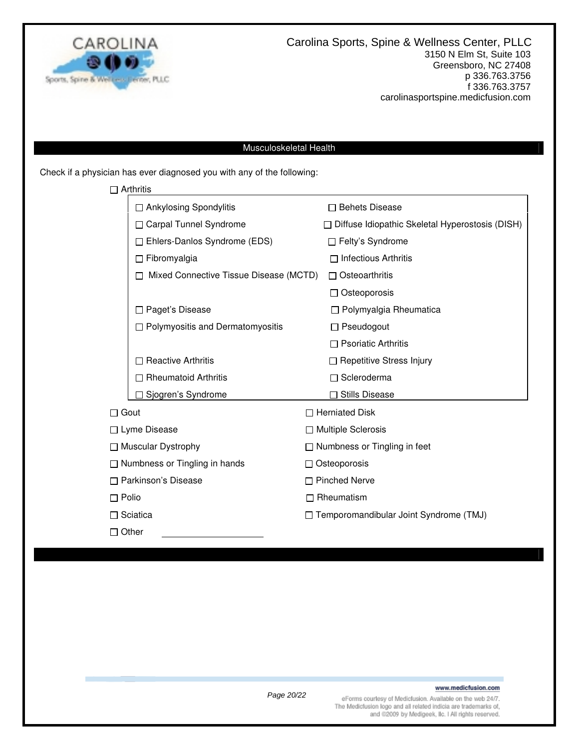

### Musculoskeletal Health

Check if a physician has ever diagnosed you with any of the following:

| $\Box$ Arthritis                       |                                                        |                                     |  |
|----------------------------------------|--------------------------------------------------------|-------------------------------------|--|
| □ Ankylosing Spondylitis               |                                                        | $\Box$ Behets Disease               |  |
| <b>Carpal Tunnel Syndrome</b>          | $\Box$ Diffuse Idiopathic Skeletal Hyperostosis (DISH) |                                     |  |
| □ Ehlers-Danlos Syndrome (EDS)         |                                                        | □ Felty's Syndrome                  |  |
| $\Box$ Fibromyalgia                    |                                                        | $\Box$ Infectious Arthritis         |  |
| Mixed Connective Tissue Disease (MCTD) |                                                        | $\Box$ Osteoarthritis               |  |
|                                        |                                                        | $\Box$ Osteoporosis                 |  |
| Paget's Disease                        |                                                        | $\Box$ Polymyalgia Rheumatica       |  |
| □ Polymyositis and Dermatomyositis     |                                                        | $\Box$ Pseudogout                   |  |
|                                        |                                                        | $\Box$ Psoriatic Arthritis          |  |
| <b>Reactive Arthritis</b>              |                                                        | □ Repetitive Stress Injury          |  |
| <b>Rheumatoid Arthritis</b>            |                                                        | $\Box$ Scleroderma                  |  |
| Sjogren's Syndrome                     |                                                        | □ Stills Disease                    |  |
| $\Box$ Gout                            |                                                        | $\Box$ Herniated Disk               |  |
| □ Lyme Disease                         | □ Multiple Sclerosis                                   |                                     |  |
| $\Box$ Muscular Dystrophy              |                                                        | $\Box$ Numbness or Tingling in feet |  |
| $\Box$ Numbness or Tingling in hands   |                                                        | $\Box$ Osteoporosis                 |  |
| □ Parkinson's Disease                  |                                                        | $\Box$ Pinched Nerve                |  |
| $\Box$ Polio                           |                                                        | $\Box$ Rheumatism                   |  |
| $\Box$ Sciatica                        | □ Temporomandibular Joint Syndrome (TMJ)               |                                     |  |
| $\Box$ Other                           |                                                        |                                     |  |

### www.medicfusion.com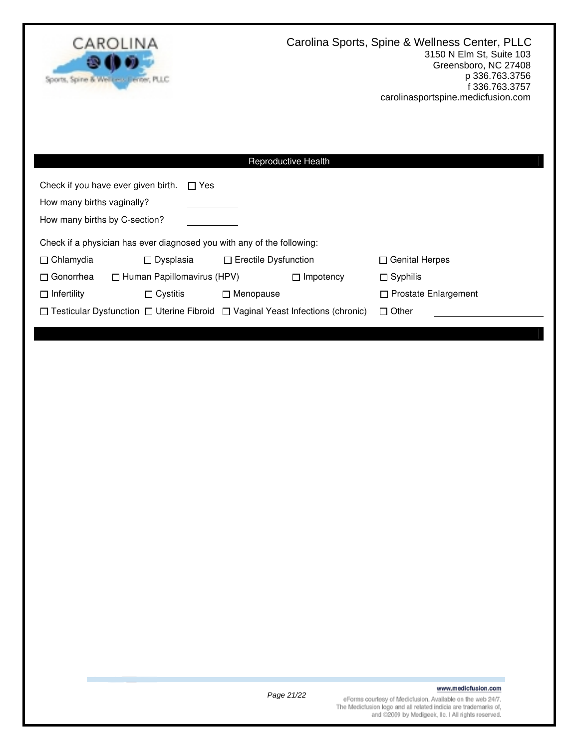

| <b>Reproductive Health</b>                                                                                       |                  |                  |                             |  |  |  |
|------------------------------------------------------------------------------------------------------------------|------------------|------------------|-----------------------------|--|--|--|
| Check if you have ever given birth.<br>$\Box$ Yes<br>How many births vaginally?<br>How many births by C-section? |                  |                  |                             |  |  |  |
| Check if a physician has ever diagnosed you with any of the following:                                           |                  |                  |                             |  |  |  |
| $\Box$ Chlamydia<br>$\Box$ Dysplasia<br>$\Box$ Erectile Dysfunction                                              |                  |                  | $\Box$ Genital Herpes       |  |  |  |
| $\Box$ Human Papillomavirus (HPV)<br>$\Box$ Gonorrhea                                                            |                  | $\Box$ Impotency | $\Box$ Syphilis             |  |  |  |
| $\Box$ Infertility<br>$\Box$ Cystitis                                                                            | $\Box$ Menopause |                  | $\Box$ Prostate Enlargement |  |  |  |
| $\Box$ Testicular Dysfunction $\Box$ Uterine Fibroid $\Box$ Vaginal Yeast Infections (chronic)<br>$\Box$ Other   |                  |                  |                             |  |  |  |